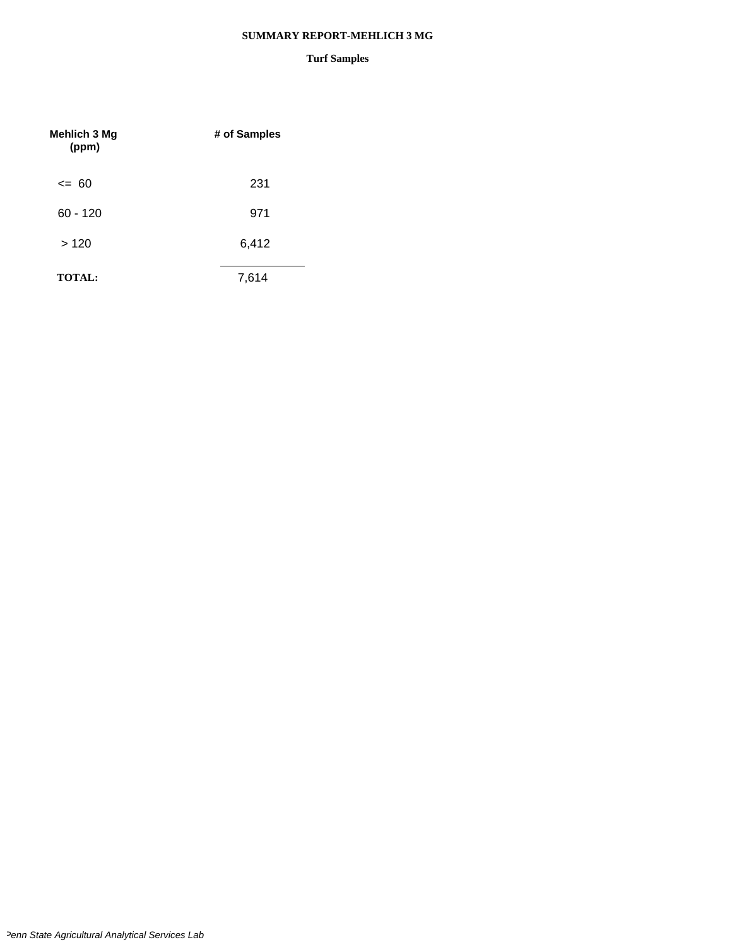#### **SUMMARY REPORT-MEHLICH 3 MG**

| <b>Mehlich 3 Mg</b><br>(ppm) | # of Samples |
|------------------------------|--------------|
| $\leq$ 60                    | 231          |
| $60 - 120$                   | 971          |
| >120                         | 6,412        |
| <b>TOTAL:</b>                | 7,614        |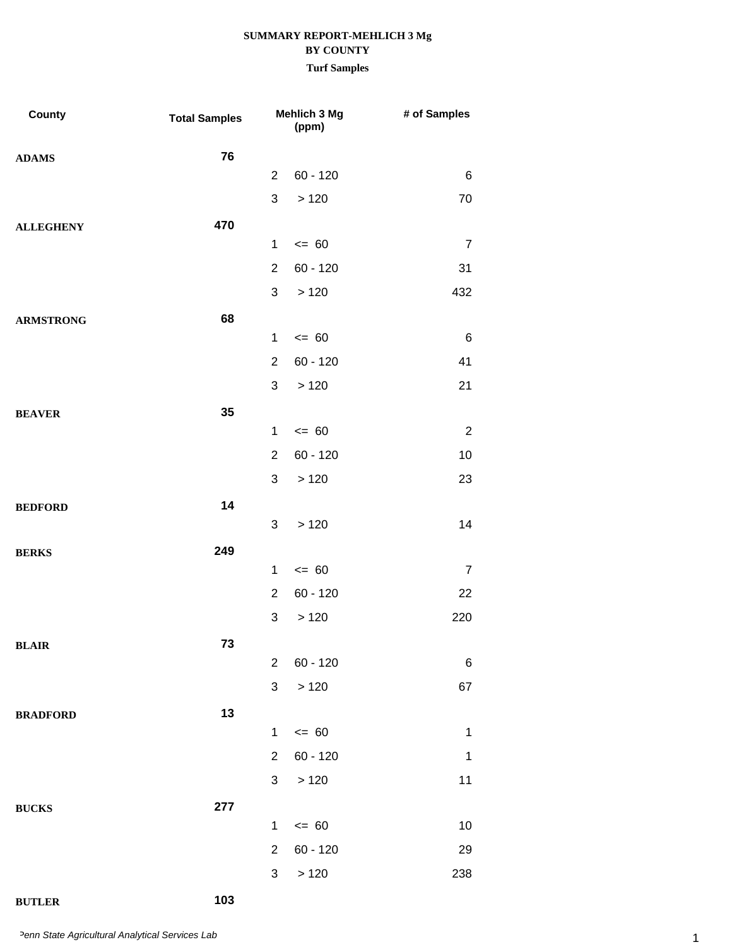## **SUMMARY REPORT-MEHLICH 3 Mg BY COUNTY Turf Samples**

| County           | <b>Total Samples</b> |                | Mehlich 3 Mg<br>(ppm) | # of Samples   |
|------------------|----------------------|----------------|-----------------------|----------------|
| <b>ADAMS</b>     | 76                   |                |                       |                |
|                  |                      | $\overline{2}$ | $60 - 120$            | $\,6$          |
|                  |                      | 3              | >120                  | 70             |
| <b>ALLEGHENY</b> | 470                  |                |                       |                |
|                  |                      | $\mathbf{1}$   | $= 60$                | $\overline{7}$ |
|                  |                      | $\overline{2}$ | $60 - 120$            | 31             |
|                  |                      | 3              | >120                  | 432            |
| <b>ARMSTRONG</b> | 68                   |                |                       |                |
|                  |                      | $\mathbf{1}$   | $\leq 60$             | $\,6\,$        |
|                  |                      | $\overline{2}$ | $60 - 120$            | 41             |
|                  |                      | 3              | >120                  | 21             |
| <b>BEAVER</b>    | 35                   |                |                       |                |
|                  |                      | $\mathbf{1}$   | $= 60$                | $\overline{2}$ |
|                  |                      | $\overline{2}$ | $60 - 120$            | 10             |
|                  |                      | 3              | >120                  | 23             |
| <b>BEDFORD</b>   | 14                   |                |                       |                |
|                  |                      | 3              | >120                  | 14             |
| <b>BERKS</b>     | 249                  |                |                       |                |
|                  |                      | $\mathbf{1}$   | $= 60$                | $\overline{7}$ |
|                  |                      | $\overline{2}$ | $60 - 120$            | 22             |
|                  |                      | 3              | >120                  | 220            |
| BLAIR            | 73                   | $\overline{2}$ |                       |                |
|                  |                      | 3              | $60 - 120$            | 6              |
|                  |                      |                | >120                  | 67             |
| <b>BRADFORD</b>  | 13                   | $\mathbf{1}$   | $= 60$                | $\mathbf 1$    |
|                  |                      | $\overline{2}$ | $60 - 120$            | $\mathbf{1}$   |
|                  |                      | 3              | >120                  | 11             |
|                  |                      |                |                       |                |
| <b>BUCKS</b>     | 277                  | $\mathbf{1}$   | $\leq$ 60             | $10$           |
|                  |                      | 2              | $60 - 120$            | 29             |
|                  |                      | 3              | >120                  | 238            |
|                  |                      |                |                       |                |

## **BUTLER 103**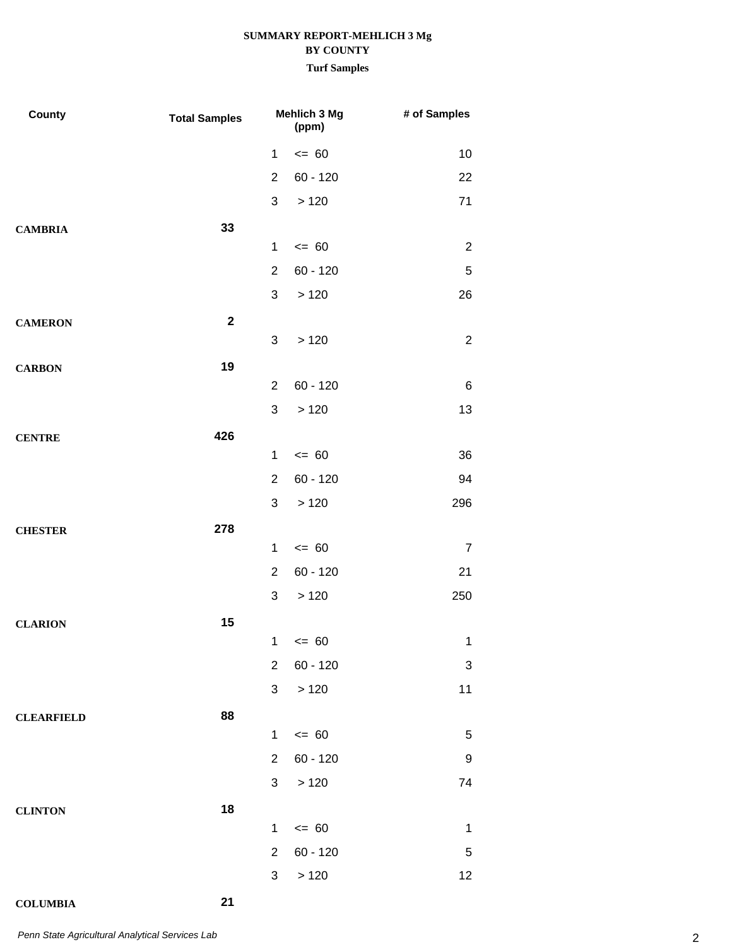### **Turf Samples**

| County            | <b>Total Samples</b> | Mehlich 3 Mg<br>(ppm) |            | # of Samples     |
|-------------------|----------------------|-----------------------|------------|------------------|
|                   |                      | $\mathbf{1}$          | $= 60$     | 10               |
|                   |                      | $\overline{2}$        | $60 - 120$ | 22               |
|                   |                      | 3                     | >120       | 71               |
| <b>CAMBRIA</b>    | 33                   |                       |            |                  |
|                   |                      | $\mathbf{1}$          | $= 60$     | $\overline{2}$   |
|                   |                      | $\overline{2}$        | $60 - 120$ | $\mathbf 5$      |
|                   |                      | 3                     | >120       | 26               |
| <b>CAMERON</b>    | $\mathbf 2$          |                       |            |                  |
|                   |                      | 3                     | >120       | $\sqrt{2}$       |
| <b>CARBON</b>     | 19                   |                       |            |                  |
|                   |                      | $\overline{2}$        | $60 - 120$ | 6                |
|                   |                      | 3                     | >120       | 13               |
| <b>CENTRE</b>     | 426                  |                       |            |                  |
|                   |                      | $\mathbf{1}$          | $= 60$     | 36               |
|                   |                      | $\overline{2}$        | $60 - 120$ | 94               |
|                   |                      | 3                     | >120       | 296              |
| <b>CHESTER</b>    | 278                  |                       |            |                  |
|                   |                      | $\mathbf{1}$          | $= 60$     | $\overline{7}$   |
|                   |                      | $\overline{2}$        | $60 - 120$ | 21               |
|                   |                      | 3                     | >120       | 250              |
| <b>CLARION</b>    | 15                   |                       | $1 \le 60$ | $\mathbf{1}$     |
|                   |                      | $\overline{2}$        | $60 - 120$ | 3                |
|                   |                      | 3                     | $>120$     | 11               |
|                   |                      |                       |            |                  |
| <b>CLEARFIELD</b> | 88                   | $\mathbf{1}$          | $\leq$ 60  | 5                |
|                   |                      | $\overline{2}$        | $60 - 120$ | $\boldsymbol{9}$ |
|                   |                      | 3 <sup>1</sup>        | $>120$     | 74               |
| <b>CLINTON</b>    | 18                   |                       |            |                  |
|                   |                      | $\mathbf{1}$          | $= 60$     | $\mathbf 1$      |
|                   |                      | $\overline{2}$        | $60 - 120$ | $\mathbf 5$      |
|                   |                      | $\mathbf{3}$          | $>120$     | 12               |
|                   |                      |                       |            |                  |

**COLUMBIA 21**

2 *Penn State Agricultural Analytical Services Lab*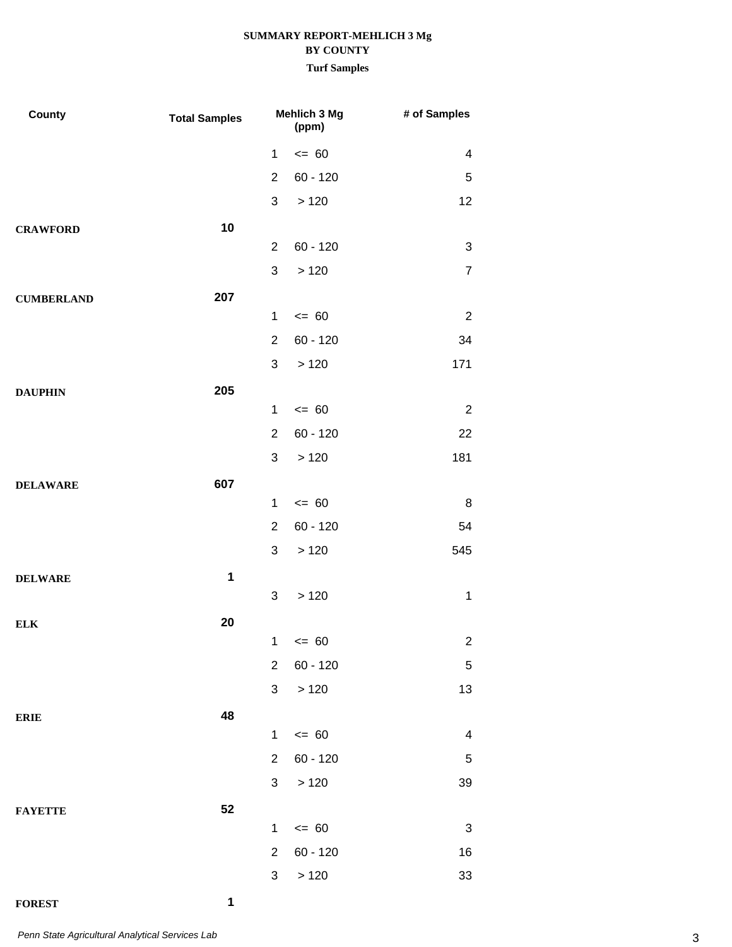### **Turf Samples**

| County            | <b>Total Samples</b> | Mehlich 3 Mg<br>(ppm) |            | # of Samples            |
|-------------------|----------------------|-----------------------|------------|-------------------------|
|                   |                      | $\mathbf{1}$          | $= 60$     | 4                       |
|                   |                      | $\overline{2}$        | $60 - 120$ | $\mathbf 5$             |
|                   |                      | 3                     | >120       | 12                      |
| <b>CRAWFORD</b>   | 10                   |                       |            |                         |
|                   |                      | $\overline{2}$        | $60 - 120$ | $\sqrt{3}$              |
|                   |                      | $\mathfrak{S}$        | >120       | $\overline{7}$          |
| <b>CUMBERLAND</b> | 207                  |                       |            |                         |
|                   |                      | $\mathbf 1$           | $= 60$     | $\overline{2}$          |
|                   |                      | $\overline{2}$        | $60 - 120$ | 34                      |
|                   |                      | $\mathfrak{S}$        | >120       | 171                     |
| <b>DAUPHIN</b>    | 205                  |                       |            |                         |
|                   |                      | $\mathbf 1$           | $= 60$     | $\overline{2}$          |
|                   |                      | $\overline{2}$        | $60 - 120$ | 22                      |
|                   |                      | $\mathfrak{S}$        | >120       | 181                     |
| <b>DELAWARE</b>   | 607                  |                       |            |                         |
|                   |                      | $\mathbf 1$           | $= 60$     | 8                       |
|                   |                      | $\overline{2}$        | $60 - 120$ | 54                      |
|                   |                      | $\mathfrak{S}$        | >120       | 545                     |
| <b>DELWARE</b>    | 1                    |                       |            |                         |
|                   |                      | 3                     | >120       | $\mathbf 1$             |
| <b>ELK</b>        | 20                   |                       |            | 2                       |
|                   |                      | $2^{\circ}$           | $1 \le 60$ |                         |
|                   |                      |                       | $60 - 120$ | $\mathbf 5$             |
|                   |                      | $\mathbf{3}$          | $>120$     | 13                      |
| <b>ERIE</b>       | 48                   | $\mathbf{1}$          | $\leq$ 60  | $\overline{\mathbf{4}}$ |
|                   |                      | 2 <sup>1</sup>        | 60 - 120   | $\mathbf 5$             |
|                   |                      |                       | 3 > 120    | 39                      |
|                   |                      |                       |            |                         |
| <b>FAYETTE</b>    | 52                   | $\mathbf{1}$          | $\leq$ 60  | $\mathbf{3}$            |
|                   |                      | $\overline{2}$        | $60 - 120$ | 16                      |
|                   |                      | 3 <sup>1</sup>        | $>120$     | 33                      |
|                   |                      |                       |            |                         |

**FOREST 1**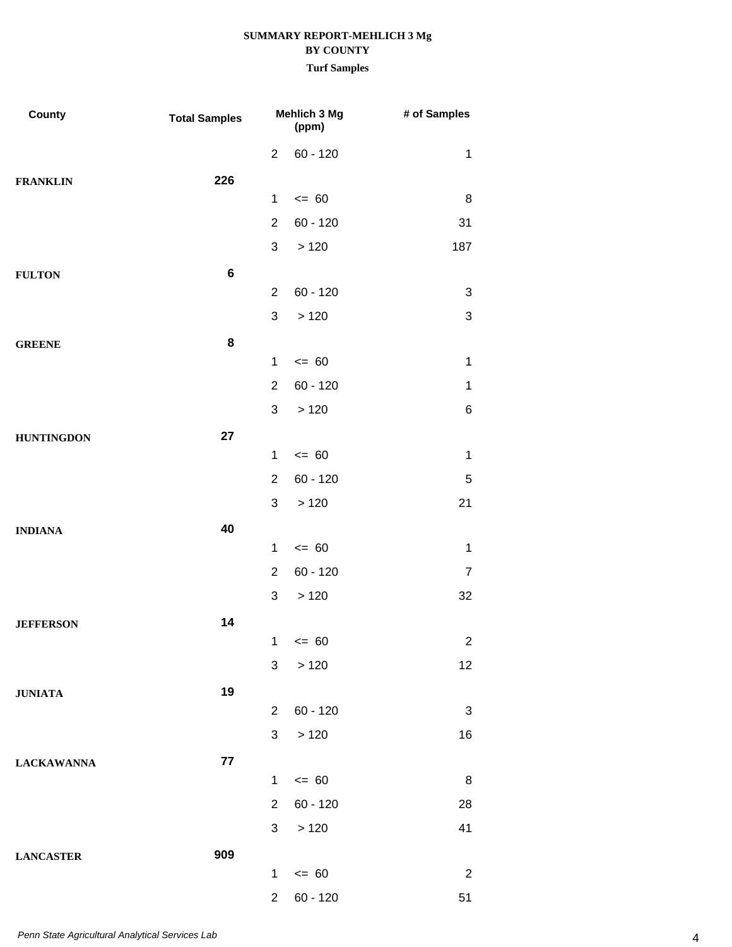| County            | <b>Total Samples</b> |                | Mehlich 3 Mg<br>(ppm) | # of Samples   |
|-------------------|----------------------|----------------|-----------------------|----------------|
|                   |                      | $\overline{2}$ | $60 - 120$            | $\mathbf{1}$   |
| <b>FRANKLIN</b>   | 226                  |                |                       |                |
|                   |                      | 1              | $= 60$                | 8              |
|                   |                      | $\overline{2}$ | $60 - 120$            | 31             |
|                   |                      | $\mathfrak{S}$ | >120                  | 187            |
| <b>FULTON</b>     | 6                    |                |                       |                |
|                   |                      | $\overline{2}$ | $60 - 120$            | 3              |
|                   |                      | 3              | >120                  | 3              |
| <b>GREENE</b>     | 8                    |                |                       |                |
|                   |                      | $\mathbf 1$    | $= 60$                | $\mathbf{1}$   |
|                   |                      | $\overline{2}$ | $60 - 120$            | $\mathbf{1}$   |
|                   |                      | 3              | >120                  | 6              |
| <b>HUNTINGDON</b> | 27                   | $\mathbf 1$    | $\leq 60$             | $\mathbf{1}$   |
|                   |                      | $\overline{2}$ | $60 - 120$            | 5              |
|                   |                      | 3              | >120                  | 21             |
|                   | 40                   |                |                       |                |
| <b>INDIANA</b>    |                      | $\mathbf 1$    | $= 60$                | $\mathbf{1}$   |
|                   |                      | $\overline{2}$ | $60 - 120$            | $\overline{7}$ |
|                   |                      | 3              | >120                  | 32             |
| <b>JEFFERSON</b>  | 14                   |                |                       |                |
|                   |                      |                | $1 \le 60$            | 2              |
|                   |                      | 3              | >120                  | 12             |
| <b>JUNIATA</b>    | 19                   |                |                       |                |
|                   |                      | $\overline{2}$ | $60 - 120$            | $\mathbf{3}$   |
|                   |                      | 3 <sup>1</sup> | >120                  | 16             |
| <b>LACKAWANNA</b> | 77                   |                |                       |                |
|                   |                      | $\mathbf{1}$   | $\leq$ 60             | 8              |
|                   |                      | $2^{\circ}$    | $60 - 120$            | 28             |
|                   |                      | $\mathbf{3}$   | >120                  | 41             |
| <b>LANCASTER</b>  | 909                  |                |                       |                |
|                   |                      | $\mathbf{1}$   | $\leq 60$             | $\overline{2}$ |
|                   |                      | $\overline{2}$ | $60 - 120$            | 51             |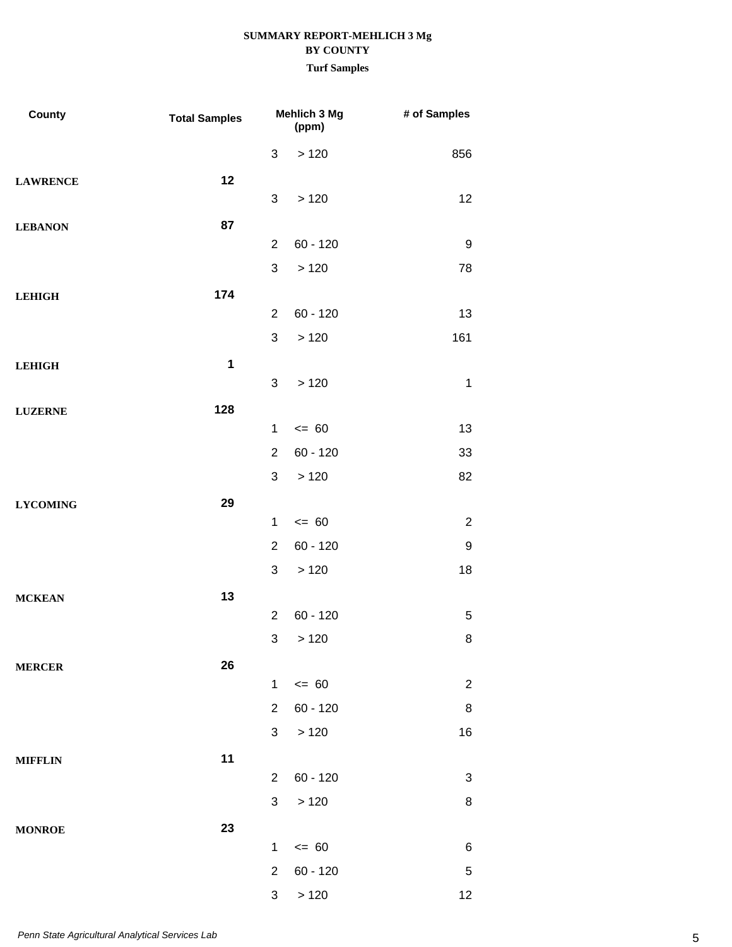## **SUMMARY REPORT-MEHLICH 3 Mg BY COUNTY Turf Samples**

| County          | <b>Total Samples</b> | Mehlich 3 Mg              |            | # of Samples              |  |
|-----------------|----------------------|---------------------------|------------|---------------------------|--|
|                 |                      | $\sqrt{3}$                | >120       | 856                       |  |
| <b>LAWRENCE</b> | 12                   |                           |            |                           |  |
|                 |                      | 3                         | >120       | 12                        |  |
| <b>LEBANON</b>  | 87                   |                           |            |                           |  |
|                 |                      | $\overline{2}$            | $60 - 120$ | 9                         |  |
|                 |                      | 3                         | >120       | 78                        |  |
| <b>LEHIGH</b>   | 174                  |                           |            |                           |  |
|                 |                      | $\overline{2}$            | $60 - 120$ | 13                        |  |
|                 |                      | $\mathfrak{S}$            | >120       | 161                       |  |
| <b>LEHIGH</b>   | $\mathbf{1}$         |                           |            |                           |  |
|                 |                      | 3                         | >120       | $\mathbf{1}$              |  |
| <b>LUZERNE</b>  | 128                  |                           |            |                           |  |
|                 |                      | $\mathbf{1}$              | $= 60$     | 13                        |  |
|                 |                      | $\overline{2}$            | $60 - 120$ | 33                        |  |
|                 |                      | $\ensuremath{\mathsf{3}}$ | >120       | 82                        |  |
| <b>LYCOMING</b> | 29                   |                           |            |                           |  |
|                 |                      | $\mathbf{1}$              | $= 60$     | $\sqrt{2}$                |  |
|                 |                      | $\overline{2}$            | $60 - 120$ | $\boldsymbol{9}$          |  |
|                 |                      | 3                         | >120       | 18                        |  |
| <b>MCKEAN</b>   | 13                   |                           |            |                           |  |
|                 |                      | $\overline{2}$            | $60 - 120$ | $\mathbf 5$               |  |
|                 |                      |                           | 3 > 120    | 8                         |  |
| <b>MERCER</b>   | 26                   |                           |            |                           |  |
|                 |                      | $\mathbf{1}$              | $\leq$ 60  | $\sqrt{2}$                |  |
|                 |                      | $\overline{2}$            | $60 - 120$ | $\bf 8$                   |  |
|                 |                      | 3                         | >120       | 16                        |  |
| <b>MIFFLIN</b>  | 11                   |                           |            |                           |  |
|                 |                      | $\overline{2}$            | $60 - 120$ | $\ensuremath{\mathsf{3}}$ |  |
|                 |                      | $\sqrt{3}$                | >120       | $\bf 8$                   |  |
| <b>MONROE</b>   | 23                   |                           |            |                           |  |
|                 |                      | $\mathbf{1}$              | $\leq$ 60  | $\,6$                     |  |
|                 |                      | $\mathbf{2}$              | $60 - 120$ | $\mathbf 5$               |  |
|                 |                      | 3                         | >120       | 12                        |  |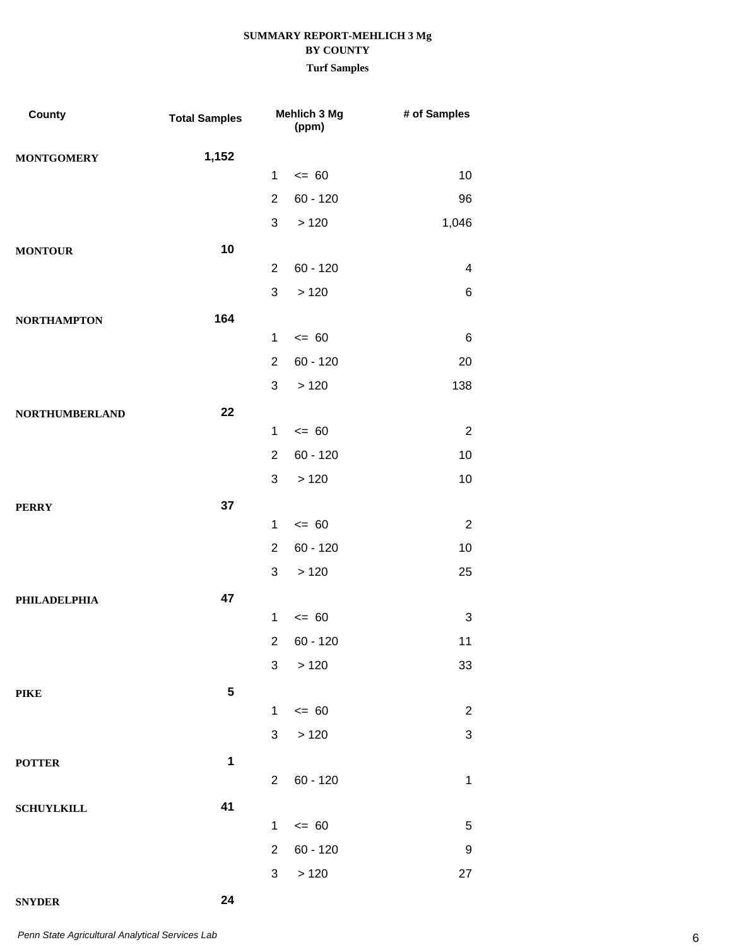## **SUMMARY REPORT-MEHLICH 3 Mg BY COUNTY Turf Samples**

| County                | <b>Total Samples</b> |                | Mehlich 3 Mg<br>(ppm) | # of Samples              |
|-----------------------|----------------------|----------------|-----------------------|---------------------------|
| <b>MONTGOMERY</b>     | 1,152                |                |                       |                           |
|                       |                      | $\mathbf 1$    | $= 60$                | 10                        |
|                       |                      | $\overline{2}$ | $60 - 120$            | 96                        |
|                       |                      | 3              | >120                  | 1,046                     |
| <b>MONTOUR</b>        | 10                   |                |                       |                           |
|                       |                      | $\overline{2}$ | $60 - 120$            | $\overline{\mathbf{4}}$   |
|                       |                      | 3              | >120                  | $\,6$                     |
| <b>NORTHAMPTON</b>    | 164                  |                |                       |                           |
|                       |                      | 1              | $= 60$                | $\,6\,$                   |
|                       |                      | $\overline{2}$ | $60 - 120$            | 20                        |
|                       |                      | 3              | >120                  | 138                       |
| <b>NORTHUMBERLAND</b> | 22                   | $\mathbf 1$    | $= 60$                | $\sqrt{2}$                |
|                       |                      | $\overline{2}$ | $60 - 120$            | 10                        |
|                       |                      | 3              | $>120$                | 10                        |
|                       | 37                   |                |                       |                           |
| <b>PERRY</b>          |                      | 1              | $= 60$                | $\sqrt{2}$                |
|                       |                      | $\overline{2}$ | $60 - 120$            | 10                        |
|                       |                      | 3              | >120                  | 25                        |
| <b>PHILADELPHIA</b>   | 47                   |                |                       |                           |
|                       |                      | 1              | $= 60$                | 3                         |
|                       |                      | $\overline{c}$ | 60 - 120              | 11                        |
|                       |                      | 3              | >120                  | 33                        |
| <b>PIKE</b>           | ${\bf 5}$            |                |                       |                           |
|                       |                      | 1              | $= 60$                | $\sqrt{2}$                |
|                       |                      | 3              | >120                  | $\ensuremath{\mathsf{3}}$ |
| <b>POTTER</b>         | $\mathbf 1$          |                |                       |                           |
|                       |                      | $\overline{2}$ | $60 - 120$            | $\mathbf{1}$              |
| <b>SCHUYLKILL</b>     | 41                   |                |                       |                           |
|                       |                      | 1              | $= 60$                | $\sqrt{5}$                |
|                       |                      | $\overline{2}$ | $60 - 120$            | $\boldsymbol{9}$          |
|                       |                      | 3              | >120                  | 27                        |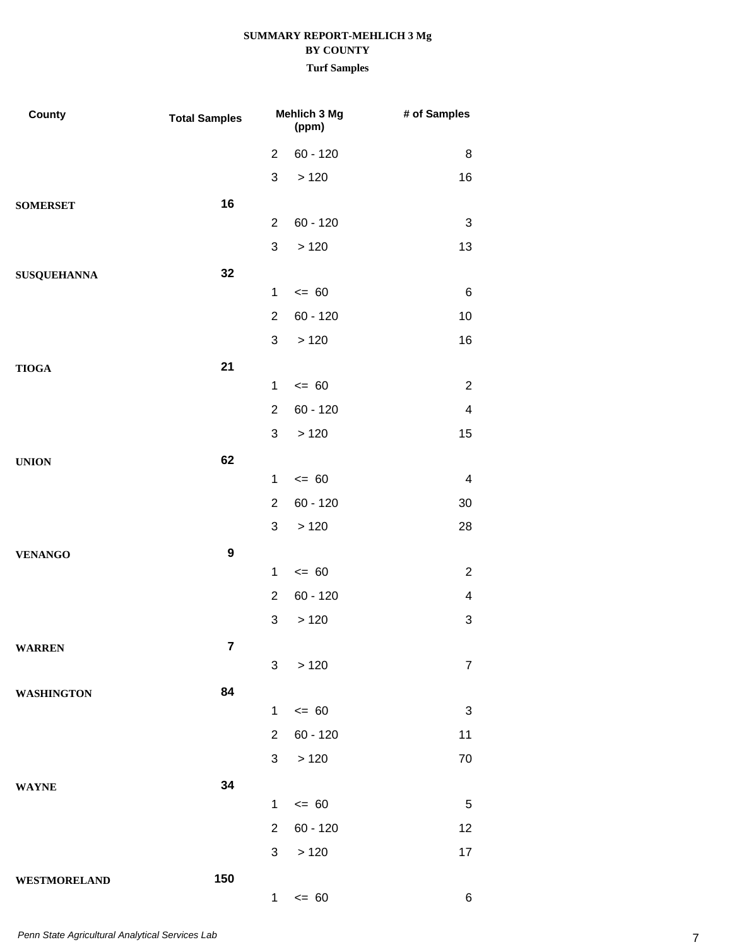| County              | <b>Total Samples</b> | Mehlich 3 Mg<br>(ppm) |            | # of Samples            |
|---------------------|----------------------|-----------------------|------------|-------------------------|
|                     |                      | $\overline{2}$        | $60 - 120$ | 8                       |
|                     |                      | 3                     | >120       | 16                      |
| <b>SOMERSET</b>     | 16                   |                       |            |                         |
|                     |                      | $\overline{2}$        | $60 - 120$ | 3                       |
|                     |                      | $\mathfrak{S}$        | >120       | 13                      |
| <b>SUSQUEHANNA</b>  | 32                   |                       |            |                         |
|                     |                      | $\mathbf 1$           | $= 60$     | 6                       |
|                     |                      | $\overline{2}$        | $60 - 120$ | 10                      |
|                     |                      | 3                     | >120       | 16                      |
| <b>TIOGA</b>        | 21                   |                       |            |                         |
|                     |                      | $\mathbf 1$           | $= 60$     | $\overline{2}$          |
|                     |                      | $\overline{2}$        | $60 - 120$ | $\overline{\mathbf{4}}$ |
|                     |                      | 3                     | >120       | 15                      |
| <b>UNION</b>        | 62                   |                       |            |                         |
|                     |                      | $\mathbf 1$           | $= 60$     | $\overline{\mathbf{4}}$ |
|                     |                      | $\overline{2}$        | $60 - 120$ | 30                      |
|                     |                      | 3                     | >120       | 28                      |
| <b>VENANGO</b>      | $\boldsymbol{9}$     |                       |            |                         |
|                     |                      | $\mathbf{1}$          | $= 60$     | $\overline{2}$          |
|                     |                      | $\overline{2}$        | $60 - 120$ | 4                       |
|                     |                      | $\mathfrak{S}$        | >120       | 3                       |
| <b>WARREN</b>       | 7                    |                       |            |                         |
|                     |                      | $\mathbf{3}$          | >120       | $\overline{7}$          |
| <b>WASHINGTON</b>   | 84                   | $\mathbf{1}$          | $= 60$     | 3                       |
|                     |                      | $\overline{2}$        | $60 - 120$ | 11                      |
|                     |                      | 3                     | >120       | $70\,$                  |
|                     |                      |                       |            |                         |
| <b>WAYNE</b>        | 34                   | $\mathbf{1}$          | $= 60$     | $\sqrt{5}$              |
|                     |                      | $\overline{2}$        | $60 - 120$ | 12                      |
|                     |                      | 3                     | >120       | 17                      |
| <b>WESTMORELAND</b> | 150                  |                       |            |                         |
|                     |                      | $\mathbf{1}$          | $\leq$ 60  | $\,6$                   |